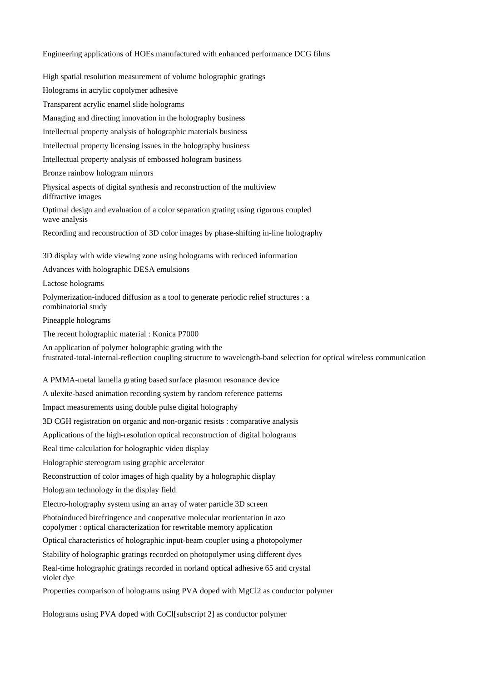Engineering applications of HOEs manufactured with enhanced performance DCG films

High spatial resolution measurement of volume holographic gratings

Holograms in acrylic copolymer adhesive

Transparent acrylic enamel slide holograms

Managing and directing innovation in the holography business

Intellectual property analysis of holographic materials business

Intellectual property licensing issues in the holography business

Intellectual property analysis of embossed hologram business

Bronze rainbow hologram mirrors

Physical aspects of digital synthesis and reconstruction of the multiview diffractive images

Optimal design and evaluation of a color separation grating using rigorous coupled wave analysis

Recording and reconstruction of 3D color images by phase-shifting in-line holography

3D display with wide viewing zone using holograms with reduced information

Advances with holographic DESA emulsions

Lactose holograms

Polymerization-induced diffusion as a tool to generate periodic relief structures : a combinatorial study

Pineapple holograms

The recent holographic material : Konica P7000

An application of polymer holographic grating with the frustrated-total-internal-reflection coupling structure to wavelength-band selection for optical wireless communication

## A PMMA-metal lamella grating based surface plasmon resonance device

A ulexite-based animation recording system by random reference patterns

Impact measurements using double pulse digital holography

3D CGH registration on organic and non-organic resists : comparative analysis

Applications of the high-resolution optical reconstruction of digital holograms

Real time calculation for holographic video display

Holographic stereogram using graphic accelerator

Reconstruction of color images of high quality by a holographic display

Hologram technology in the display field

Electro-holography system using an array of water particle 3D screen

Photoinduced birefringence and cooperative molecular reorientation in azo copolymer : optical characterization for rewritable memory application

Optical characteristics of holographic input-beam coupler using a photopolymer

Stability of holographic gratings recorded on photopolymer using different dyes

Real-time holographic gratings recorded in norland optical adhesive 65 and crystal violet dye

Properties comparison of holograms using PVA doped with MgCl2 as conductor polymer

Holograms using PVA doped with CoCl[subscript 2] as conductor polymer